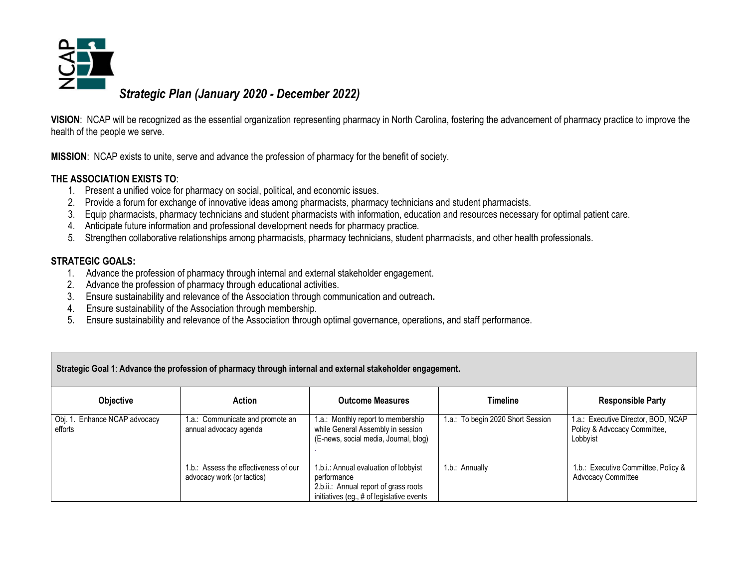

**VISION**: NCAP will be recognized as the essential organization representing pharmacy in North Carolina, fostering the advancement of pharmacy practice to improve the health of the people we serve.

**MISSION**: NCAP exists to unite, serve and advance the profession of pharmacy for the benefit of society.

#### **THE ASSOCIATION EXISTS TO**:

- 1. Present a unified voice for pharmacy on social, political, and economic issues.
- 2. Provide a forum for exchange of innovative ideas among pharmacists, pharmacy technicians and student pharmacists.
- 3. Equip pharmacists, pharmacy technicians and student pharmacists with information, education and resources necessary for optimal patient care.
- 4. Anticipate future information and professional development needs for pharmacy practice.
- 5. Strengthen collaborative relationships among pharmacists, pharmacy technicians, student pharmacists, and other health professionals.

#### **STRATEGIC GOALS:**

- 1. Advance the profession of pharmacy through internal and external stakeholder engagement.
- 2. Advance the profession of pharmacy through educational activities.
- 3. Ensure sustainability and relevance of the Association through communication and outreach**.**
- 4. Ensure sustainability of the Association through membership.
- 5. Ensure sustainability and relevance of the Association through optimal governance, operations, and staff performance.

| Strategic Goal 1: Advance the profession of pharmacy through internal and external stakeholder engagement. |                                                                     |                                                                                                                                            |                                   |                                                                                 |
|------------------------------------------------------------------------------------------------------------|---------------------------------------------------------------------|--------------------------------------------------------------------------------------------------------------------------------------------|-----------------------------------|---------------------------------------------------------------------------------|
| <b>Objective</b>                                                                                           | Action                                                              | <b>Outcome Measures</b>                                                                                                                    | Timeline                          | <b>Responsible Party</b>                                                        |
| Obj. 1. Enhance NCAP advocacy<br>efforts                                                                   | 1.a.: Communicate and promote an<br>annual advocacy agenda          | 1.a.: Monthly report to membership<br>while General Assembly in session<br>(E-news, social media, Journal, blog)                           | 1.a.: To begin 2020 Short Session | 1.a.: Executive Director, BOD, NCAP<br>Policy & Advocacy Committee,<br>Lobbyist |
|                                                                                                            | 1.b.: Assess the effectiveness of our<br>advocacy work (or tactics) | 1.b.i.: Annual evaluation of lobbyist<br>performance<br>2.b.ii.: Annual report of grass roots<br>initiatives (eg., # of legislative events | 1.b.: Annually                    | 1.b.: Executive Committee, Policy &<br><b>Advocacy Committee</b>                |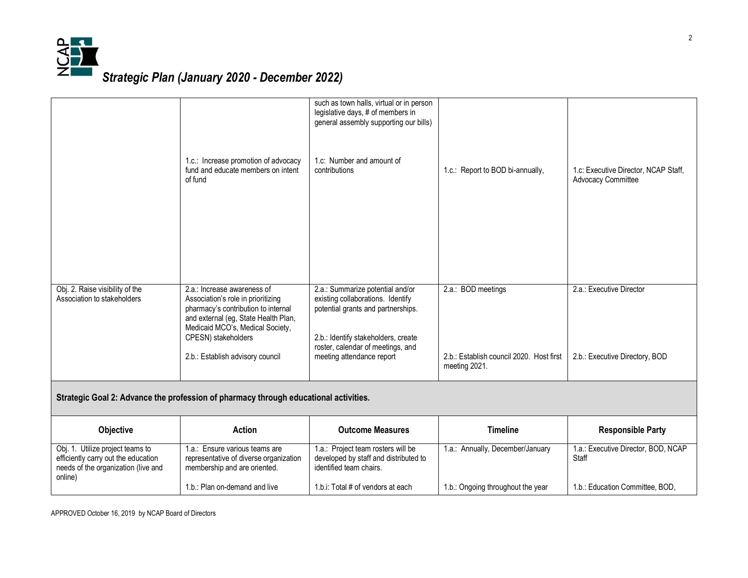

|                                                                                                                           | 1.c.: Increase promotion of advocacy<br>fund and educate members on intent<br>of fund                                                                                                                                                           | such as town halls, virtual or in person<br>legislative days, # of members in<br>general assembly supporting our bills)<br>1.c: Number and amount of<br>contributions                                                | 1.c.: Report to BOD bi-annually,                                                | 1.c: Executive Director, NCAP Staff,<br><b>Advocacy Committee</b> |  |
|---------------------------------------------------------------------------------------------------------------------------|-------------------------------------------------------------------------------------------------------------------------------------------------------------------------------------------------------------------------------------------------|----------------------------------------------------------------------------------------------------------------------------------------------------------------------------------------------------------------------|---------------------------------------------------------------------------------|-------------------------------------------------------------------|--|
| Obj. 2. Raise visibility of the<br>Association to stakeholders                                                            | 2.a.: Increase awareness of<br>Association's role in prioritizing<br>pharmacy's contribution to internal<br>and external (eg, State Health Plan,<br>Medicaid MCO's, Medical Society,<br>CPESN) stakeholders<br>2.b.: Establish advisory council | 2.a.: Summarize potential and/or<br>existing collaborations. Identify<br>potential grants and partnerships.<br>2.b.: Identify stakeholders, create<br>roster, calendar of meetings, and<br>meeting attendance report | 2.a.: BOD meetings<br>2.b.: Establish council 2020. Host first<br>meeting 2021. | 2.a.: Executive Director<br>2.b.: Executive Directory, BOD        |  |
| Strategic Goal 2: Advance the profession of pharmacy through educational activities.                                      |                                                                                                                                                                                                                                                 |                                                                                                                                                                                                                      |                                                                                 |                                                                   |  |
| Objective                                                                                                                 | <b>Action</b>                                                                                                                                                                                                                                   | <b>Outcome Measures</b>                                                                                                                                                                                              | <b>Timeline</b>                                                                 | <b>Responsible Party</b>                                          |  |
| Obj. 1. Utilize project teams to<br>efficiently carry out the education<br>needs of the organization (live and<br>online) | 1.a.: Ensure various teams are<br>representative of diverse organization<br>membership and are oriented.                                                                                                                                        | 1.a.: Project team rosters will be<br>developed by staff and distributed to<br>identified team chairs.                                                                                                               | 1.a.: Annually, December/January                                                | 1.a.: Executive Director, BOD, NCAP<br>Staff                      |  |
|                                                                                                                           | 1.b.: Plan on-demand and live                                                                                                                                                                                                                   | 1.b.i: Total # of vendors at each                                                                                                                                                                                    | 1.b.: Ongoing throughout the year                                               | 1.b.: Education Committee, BOD,                                   |  |

APPROVED October 16, 2019 by NCAP Board of Directors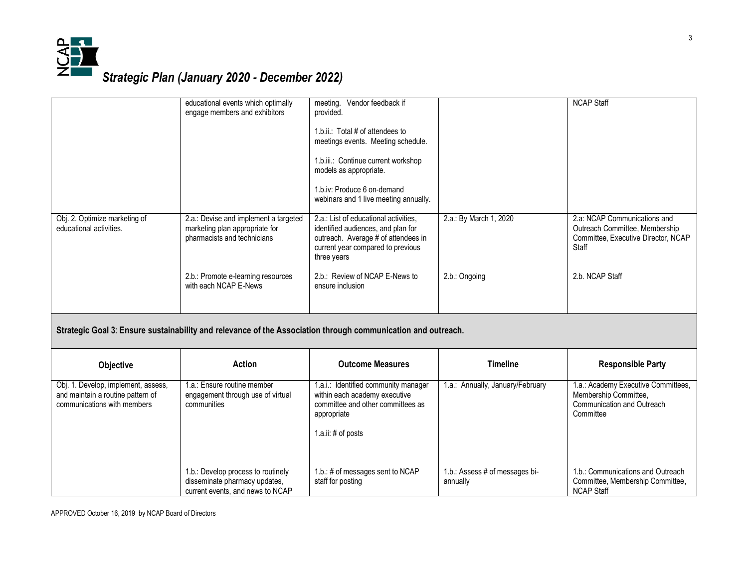

1.b.: Develop process to routinely disseminate pharmacy updates, current events, and news to NCAP

|                                                                                                              | educational events which optimally<br>engage members and exhibitors                                    | meeting. Vendor feedback if<br>provided.<br>1.b.ii.: Total # of attendees to<br>meetings events. Meeting schedule.<br>1.b.iii.: Continue current workshop<br>models as appropriate.<br>1.b.iv: Produce 6 on-demand<br>webinars and 1 live meeting annually. |                                  | <b>NCAP Staff</b>                                                                                              |  |
|--------------------------------------------------------------------------------------------------------------|--------------------------------------------------------------------------------------------------------|-------------------------------------------------------------------------------------------------------------------------------------------------------------------------------------------------------------------------------------------------------------|----------------------------------|----------------------------------------------------------------------------------------------------------------|--|
| Obj. 2. Optimize marketing of<br>educational activities.                                                     | 2.a.: Devise and implement a targeted<br>marketing plan appropriate for<br>pharmacists and technicians | 2.a.: List of educational activities,<br>identified audiences, and plan for<br>outreach. Average # of attendees in<br>current year compared to previous<br>three years                                                                                      | 2.a.: By March 1, 2020           | 2.a: NCAP Communications and<br>Outreach Committee, Membership<br>Committee, Executive Director, NCAP<br>Staff |  |
|                                                                                                              | 2.b.: Promote e-learning resources<br>with each NCAP E-News                                            | 2.b.: Review of NCAP E-News to<br>ensure inclusion                                                                                                                                                                                                          | 2.b.: Ongoing                    | 2.b. NCAP Staff                                                                                                |  |
| Strategic Goal 3: Ensure sustainability and relevance of the Association through communication and outreach. |                                                                                                        |                                                                                                                                                                                                                                                             |                                  |                                                                                                                |  |
| Objective                                                                                                    | <b>Action</b>                                                                                          | <b>Outcome Measures</b>                                                                                                                                                                                                                                     | <b>Timeline</b>                  | <b>Responsible Party</b>                                                                                       |  |
| Obj. 1. Develop, implement, assess,<br>and maintain a routine pattern of<br>communications with members      | 1.a.: Ensure routine member<br>engagement through use of virtual<br>communities                        | 1.a.i.: Identified community manager<br>within each academy executive<br>committee and other committees as<br>appropriate<br>1.a.ii: $\#$ of posts                                                                                                          | 1.a.: Annually, January/February | 1.a.: Academy Executive Committees,<br>Membership Committee,<br>Communication and Outreach<br>Committee        |  |

1.b.: # of messages sent to NCAP

1.b.: Assess # of messages bi-

1.b.: Communications and Outreach Committee, Membership Committee,

NCAP Staff

annually

staff for posting

APPROVED October 16, 2019 by NCAP Board of Directors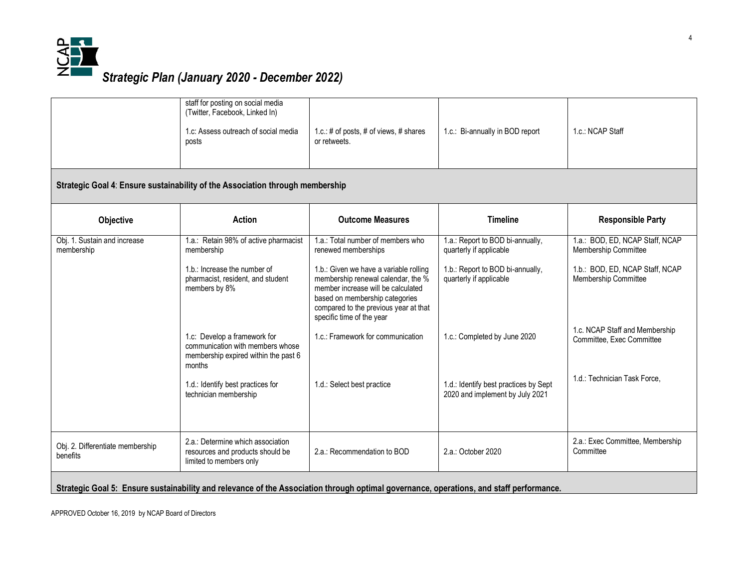

|                                                                                                                                         | staff for posting on social media<br>(Twitter, Facebook, Linked In)<br>1.c: Assess outreach of social media<br>posts | 1.c.: # of posts, # of views, # shares<br>or retweets.                                                                                                                                                                     | 1.c.: Bi-annually in BOD report                                          | 1.c.: NCAP Staff                                            |  |
|-----------------------------------------------------------------------------------------------------------------------------------------|----------------------------------------------------------------------------------------------------------------------|----------------------------------------------------------------------------------------------------------------------------------------------------------------------------------------------------------------------------|--------------------------------------------------------------------------|-------------------------------------------------------------|--|
| Strategic Goal 4: Ensure sustainability of the Association through membership                                                           |                                                                                                                      |                                                                                                                                                                                                                            |                                                                          |                                                             |  |
| Objective                                                                                                                               | <b>Action</b>                                                                                                        | <b>Outcome Measures</b>                                                                                                                                                                                                    | <b>Timeline</b>                                                          | <b>Responsible Party</b>                                    |  |
| Obj. 1. Sustain and increase<br>membership                                                                                              | 1.a.: Retain 98% of active pharmacist<br>membership                                                                  | 1.a.: Total number of members who<br>renewed memberships                                                                                                                                                                   | 1.a.: Report to BOD bi-annually,<br>quarterly if applicable              | 1.a.: BOD, ED, NCAP Staff, NCAP<br>Membership Committee     |  |
|                                                                                                                                         | 1.b.: Increase the number of<br>pharmacist, resident, and student<br>members by 8%                                   | 1.b.: Given we have a variable rolling<br>membership renewal calendar, the %<br>member increase will be calculated<br>based on membership categories<br>compared to the previous year at that<br>specific time of the year | 1.b.: Report to BOD bi-annually,<br>quarterly if applicable              | 1.b.: BOD, ED, NCAP Staff, NCAP<br>Membership Committee     |  |
|                                                                                                                                         | 1.c: Develop a framework for<br>communication with members whose<br>membership expired within the past 6<br>months   | 1.c.: Framework for communication                                                                                                                                                                                          | 1.c.: Completed by June 2020                                             | 1.c. NCAP Staff and Membership<br>Committee, Exec Committee |  |
|                                                                                                                                         | 1.d.: Identify best practices for<br>technician membership                                                           | 1.d.: Select best practice                                                                                                                                                                                                 | 1.d.: Identify best practices by Sept<br>2020 and implement by July 2021 | 1.d.: Technician Task Force,                                |  |
| Obj. 2. Differentiate membership<br>benefits                                                                                            | 2.a.: Determine which association<br>resources and products should be<br>limited to members only                     | 2.a.: Recommendation to BOD                                                                                                                                                                                                | 2.a.: October 2020                                                       | 2.a.: Exec Committee, Membership<br>Committee               |  |
| Strategic Goal 5: Ensure sustainability and relevance of the Association through optimal governance, operations, and staff performance. |                                                                                                                      |                                                                                                                                                                                                                            |                                                                          |                                                             |  |